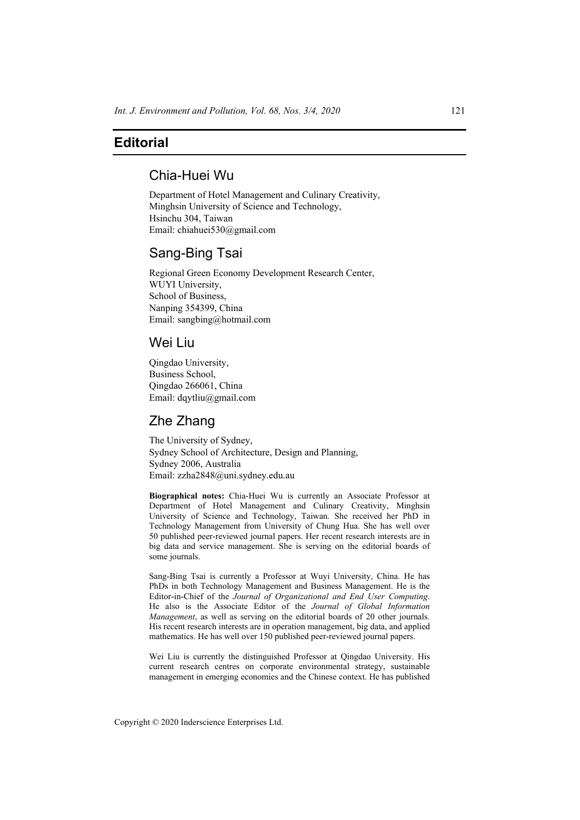# **Editorial**

## Chia-Huei Wu

Department of Hotel Management and Culinary Creativity, Minghsin University of Science and Technology, Hsinchu 304, Taiwan Email: chiahuei530@gmail.com

# Sang-Bing Tsai

Regional Green Economy Development Research Center, WUYI University, School of Business, Nanping 354399, China Email: sangbing@hotmail.com

### Wei Liu

Qingdao University, Business School, Qingdao 266061, China Email: dqytliu@gmail.com

# Zhe Zhang

The University of Sydney, Sydney School of Architecture, Design and Planning, Sydney 2006, Australia Email: zzha2848@uni.sydney.edu.au

**Biographical notes:** Chia-Huei Wu is currently an Associate Professor at Department of Hotel Management and Culinary Creativity, Minghsin University of Science and Technology, Taiwan. She received her PhD in Technology Management from University of Chung Hua. She has well over 50 published peer-reviewed journal papers. Her recent research interests are in big data and service management. She is serving on the editorial boards of some journals.

Sang-Bing Tsai is currently a Professor at Wuyi University, China. He has PhDs in both Technology Management and Business Management. He is the Editor-in-Chief of the *Journal of Organizational and End User Computing*. He also is the Associate Editor of the *Journal of Global Information Management*, as well as serving on the editorial boards of 20 other journals. His recent research interests are in operation management, big data, and applied mathematics. He has well over 150 published peer-reviewed journal papers.

Wei Liu is currently the distinguished Professor at Qingdao University. His current research centres on corporate environmental strategy, sustainable management in emerging economies and the Chinese context. He has published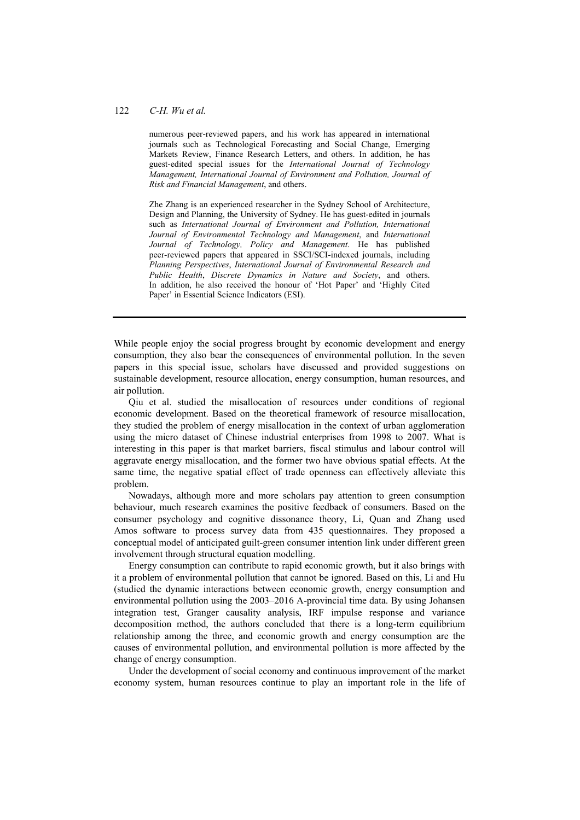numerous peer-reviewed papers, and his work has appeared in international journals such as Technological Forecasting and Social Change, Emerging Markets Review, Finance Research Letters, and others. In addition, he has guest-edited special issues for the *International Journal of Technology Management, International Journal of Environment and Pollution, Journal of Risk and Financial Management*, and others.

Zhe Zhang is an experienced researcher in the Sydney School of Architecture, Design and Planning, the University of Sydney. He has guest-edited in journals such as *International Journal of Environment and Pollution, International Journal of Environmental Technology and Management*, and *International Journal of Technology, Policy and Management*. He has published peer-reviewed papers that appeared in SSCI/SCI-indexed journals, including *Planning Perspectives*, *International Journal of Environmental Research and Public Health*, *Discrete Dynamics in Nature and Society*, and others. In addition, he also received the honour of 'Hot Paper' and 'Highly Cited Paper' in Essential Science Indicators (ESI).

While people enjoy the social progress brought by economic development and energy consumption, they also bear the consequences of environmental pollution. In the seven papers in this special issue, scholars have discussed and provided suggestions on sustainable development, resource allocation, energy consumption, human resources, and air pollution.

Qiu et al. studied the misallocation of resources under conditions of regional economic development. Based on the theoretical framework of resource misallocation, they studied the problem of energy misallocation in the context of urban agglomeration using the micro dataset of Chinese industrial enterprises from 1998 to 2007. What is interesting in this paper is that market barriers, fiscal stimulus and labour control will aggravate energy misallocation, and the former two have obvious spatial effects. At the same time, the negative spatial effect of trade openness can effectively alleviate this problem.

Nowadays, although more and more scholars pay attention to green consumption behaviour, much research examines the positive feedback of consumers. Based on the consumer psychology and cognitive dissonance theory, Li, Quan and Zhang used Amos software to process survey data from 435 questionnaires. They proposed a conceptual model of anticipated guilt-green consumer intention link under different green involvement through structural equation modelling.

Energy consumption can contribute to rapid economic growth, but it also brings with it a problem of environmental pollution that cannot be ignored. Based on this, Li and Hu (studied the dynamic interactions between economic growth, energy consumption and environmental pollution using the 2003–2016 A-provincial time data. By using Johansen integration test, Granger causality analysis, IRF impulse response and variance decomposition method, the authors concluded that there is a long-term equilibrium relationship among the three, and economic growth and energy consumption are the causes of environmental pollution, and environmental pollution is more affected by the change of energy consumption.

Under the development of social economy and continuous improvement of the market economy system, human resources continue to play an important role in the life of